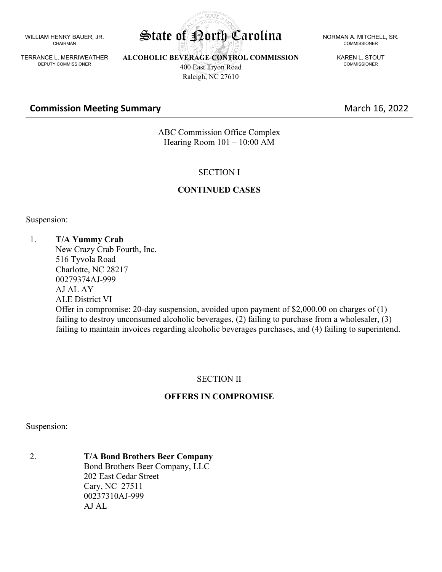WILLIAM HENRY BAUER, JR. CHAIRMAN

TERRANCE L. MERRIWEATHER DEPUTY COMMISSIONER

**ALCOHOLIC BEVERAGE CONTROL COMMISSION** 400 East Tryon Road

**STATA** 

**Commission Meeting Summary March 16, 2022** 

Raleigh, NC 27610

### State of Porth Carolina NORMAN A. MITCHELL, SR. COMMISSIONER

KAREN L. STOUT COMMISSIONER

ABC Commission Office Complex Hearing Room 101 – 10:00 AM

### SECTION I

#### **CONTINUED CASES**

Suspension:

#### 1. **T/A Yummy Crab**

New Crazy Crab Fourth, Inc. 516 Tyvola Road Charlotte, NC 28217 00279374AJ-999 AJ AL AY ALE District VI Offer in compromise: 20-day suspension, avoided upon payment of \$2,000.00 on charges of (1) failing to destroy unconsumed alcoholic beverages, (2) failing to purchase from a wholesaler, (3) failing to maintain invoices regarding alcoholic beverages purchases, and (4) failing to superintend.

### SECTION II

# **OFFERS IN COMPROMISE**

#### Suspension:

2. **T/A Bond Brothers Beer Company** Bond Brothers Beer Company, LLC 202 East Cedar Street Cary, NC 27511 00237310AJ-999 AJ AL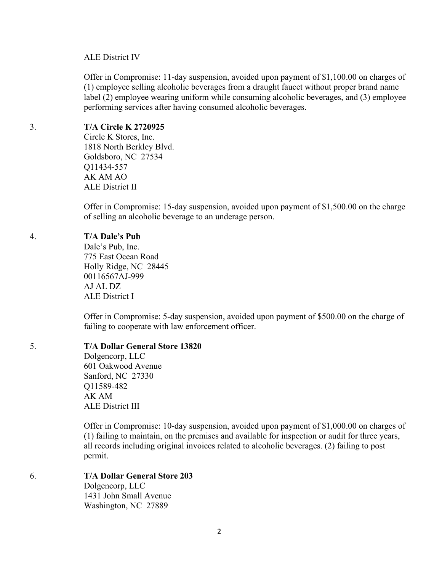#### ALE District IV

Offer in Compromise: 11-day suspension, avoided upon payment of \$1,100.00 on charges of (1) employee selling alcoholic beverages from a draught faucet without proper brand name label (2) employee wearing uniform while consuming alcoholic beverages, and (3) employee performing services after having consumed alcoholic beverages.

# 3. **T/A Circle K 2720925**

Circle K Stores, Inc. 1818 North Berkley Blvd. Goldsboro, NC 27534 Q11434-557 AK AM AO ALE District II

Offer in Compromise: 15-day suspension, avoided upon payment of \$1,500.00 on the charge of selling an alcoholic beverage to an underage person.

### 4. **T/A Dale's Pub**

Dale's Pub, Inc. 775 East Ocean Road Holly Ridge, NC 28445 00116567AJ-999 AJ AL DZ ALE District I

Offer in Compromise: 5-day suspension, avoided upon payment of \$500.00 on the charge of failing to cooperate with law enforcement officer.

### 5. **T/A Dollar General Store 13820**

Dolgencorp, LLC 601 Oakwood Avenue Sanford, NC 27330 Q11589-482 AK AM ALE District III

Offer in Compromise: 10-day suspension, avoided upon payment of \$1,000.00 on charges of (1) failing to maintain, on the premises and available for inspection or audit for three years, all records including original invoices related to alcoholic beverages. (2) failing to post permit.

#### 6. **T/A Dollar General Store 203** Dolgencorp, LLC 1431 John Small Avenue Washington, NC 27889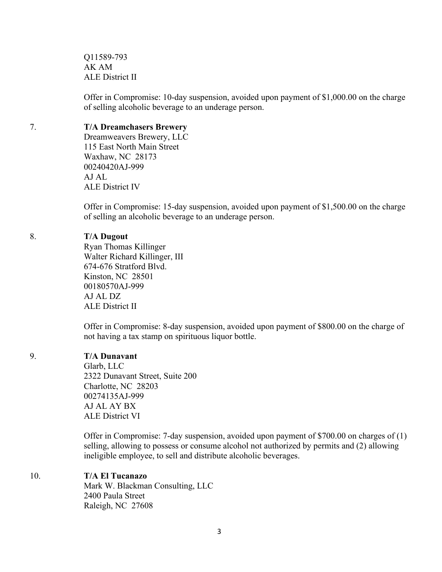Q11589-793 AK AM ALE District II

Offer in Compromise: 10-day suspension, avoided upon payment of \$1,000.00 on the charge of selling alcoholic beverage to an underage person.

#### 7. **T/A Dreamchasers Brewery**

Dreamweavers Brewery, LLC 115 East North Main Street Waxhaw, NC 28173 00240420AJ-999 AJ AL ALE District IV

Offer in Compromise: 15-day suspension, avoided upon payment of \$1,500.00 on the charge of selling an alcoholic beverage to an underage person.

#### 8. **T/A Dugout**

Ryan Thomas Killinger Walter Richard Killinger, III 674-676 Stratford Blvd. Kinston, NC 28501 00180570AJ-999 AJ AL DZ ALE District II

Offer in Compromise: 8-day suspension, avoided upon payment of \$800.00 on the charge of not having a tax stamp on spirituous liquor bottle.

#### 9. **T/A Dunavant**

Glarb, LLC 2322 Dunavant Street, Suite 200 Charlotte, NC 28203 00274135AJ-999 AJ AL AY BX ALE District VI

Offer in Compromise: 7-day suspension, avoided upon payment of \$700.00 on charges of (1) selling, allowing to possess or consume alcohol not authorized by permits and (2) allowing ineligible employee, to sell and distribute alcoholic beverages.

### 10. **T/A El Tucanazo**

Mark W. Blackman Consulting, LLC 2400 Paula Street Raleigh, NC 27608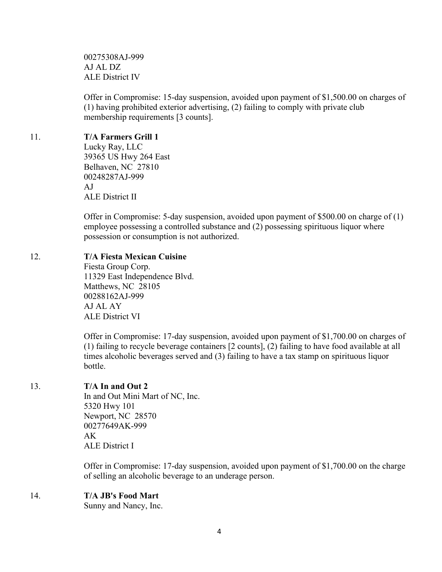00275308AJ-999 AJ AL DZ ALE District IV

Offer in Compromise: 15-day suspension, avoided upon payment of \$1,500.00 on charges of (1) having prohibited exterior advertising, (2) failing to comply with private club membership requirements [3 counts].

### 11. **T/A Farmers Grill 1**

Lucky Ray, LLC 39365 US Hwy 264 East Belhaven, NC 27810 00248287AJ-999 AJ ALE District II

Offer in Compromise: 5-day suspension, avoided upon payment of \$500.00 on charge of (1) employee possessing a controlled substance and (2) possessing spirituous liquor where possession or consumption is not authorized.

### 12. **T/A Fiesta Mexican Cuisine**

Fiesta Group Corp. 11329 East Independence Blvd. Matthews, NC 28105 00288162AJ-999 AJ AL AY ALE District VI

Offer in Compromise: 17-day suspension, avoided upon payment of \$1,700.00 on charges of (1) failing to recycle beverage containers [2 counts], (2) failing to have food available at all times alcoholic beverages served and (3) failing to have a tax stamp on spirituous liquor bottle.

# 13. **T/A In and Out 2**

In and Out Mini Mart of NC, Inc. 5320 Hwy 101 Newport, NC 28570 00277649AK-999 AK ALE District I

Offer in Compromise: 17-day suspension, avoided upon payment of \$1,700.00 on the charge of selling an alcoholic beverage to an underage person.

# 14. **T/A JB's Food Mart**

Sunny and Nancy, Inc.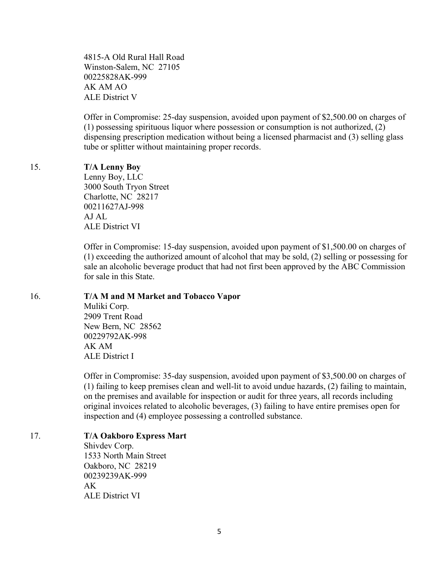4815-A Old Rural Hall Road Winston-Salem, NC 27105 00225828AK-999 AK AM AO ALE District V

Offer in Compromise: 25-day suspension, avoided upon payment of \$2,500.00 on charges of (1) possessing spirituous liquor where possession or consumption is not authorized, (2) dispensing prescription medication without being a licensed pharmacist and (3) selling glass tube or splitter without maintaining proper records.

#### 15. **T/A Lenny Boy**

Lenny Boy, LLC 3000 South Tryon Street Charlotte, NC 28217 00211627AJ-998 AJ AL ALE District VI

Offer in Compromise: 15-day suspension, avoided upon payment of \$1,500.00 on charges of (1) exceeding the authorized amount of alcohol that may be sold, (2) selling or possessing for sale an alcoholic beverage product that had not first been approved by the ABC Commission for sale in this State.

#### 16. **T/A M and M Market and Tobacco Vapor**

Muliki Corp. 2909 Trent Road New Bern, NC 28562 00229792AK-998 AK AM ALE District I

Offer in Compromise: 35-day suspension, avoided upon payment of \$3,500.00 on charges of (1) failing to keep premises clean and well-lit to avoid undue hazards, (2) failing to maintain, on the premises and available for inspection or audit for three years, all records including original invoices related to alcoholic beverages, (3) failing to have entire premises open for inspection and (4) employee possessing a controlled substance.

#### 17. **T/A Oakboro Express Mart**

Shivdev Corp. 1533 North Main Street Oakboro, NC 28219 00239239AK-999 AK ALE District VI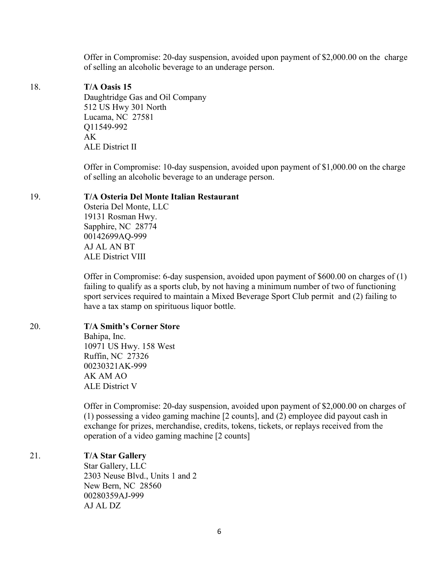Offer in Compromise: 20-day suspension, avoided upon payment of \$2,000.00 on the charge of selling an alcoholic beverage to an underage person.

#### 18. **T/A Oasis 15**

Daughtridge Gas and Oil Company 512 US Hwy 301 North Lucama, NC 27581 Q11549-992 AK ALE District II

Offer in Compromise: 10-day suspension, avoided upon payment of \$1,000.00 on the charge of selling an alcoholic beverage to an underage person.

#### 19. **T/A Osteria Del Monte Italian Restaurant**

Osteria Del Monte, LLC 19131 Rosman Hwy. Sapphire, NC 28774 00142699AQ-999 AJ AL AN BT ALE District VIII

Offer in Compromise: 6-day suspension, avoided upon payment of \$600.00 on charges of (1) failing to qualify as a sports club, by not having a minimum number of two of functioning sport services required to maintain a Mixed Beverage Sport Club permit and (2) failing to have a tax stamp on spirituous liquor bottle.

#### 20. **T/A Smith's Corner Store**

Bahipa, Inc. 10971 US Hwy. 158 West Ruffin, NC 27326 00230321AK-999 AK AM AO ALE District V

Offer in Compromise: 20-day suspension, avoided upon payment of \$2,000.00 on charges of (1) possessing a video gaming machine [2 counts], and (2) employee did payout cash in exchange for prizes, merchandise, credits, tokens, tickets, or replays received from the operation of a video gaming machine [2 counts]

#### 21. **T/A Star Gallery**

Star Gallery, LLC 2303 Neuse Blvd., Units 1 and 2 New Bern, NC 28560 00280359AJ-999 AJ AL DZ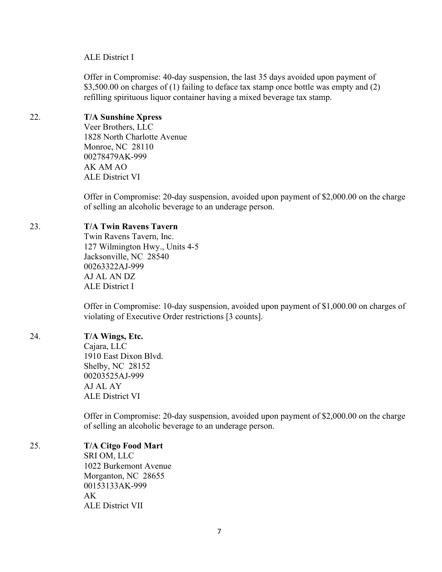#### ALE District I

Offer in Compromise: 40-day suspension, the last 35 days avoided upon payment of \$3,500.00 on charges of (1) failing to deface tax stamp once bottle was empty and (2) refilling spirituous liquor container having a mixed beverage tax stamp.

# 22. **T/A Sunshine Xpress**

Veer Brothers, LLC 1828 North Charlotte Avenue Monroe, NC 28110 00278479AK-999 AK AM AO ALE District VI

Offer in Compromise: 20-day suspension, avoided upon payment of \$2,000.00 on the charge of selling an alcoholic beverage to an underage person.

### 23. **T/A Twin Ravens Tavern**

Twin Ravens Tavern, Inc. 127 Wilmington Hwy., Units 4-5 Jacksonville, NC 28540 00263322AJ-999 AJ AL AN DZ ALE District I

Offer in Compromise: 10-day suspension, avoided upon payment of \$1,000.00 on charges of violating of Executive Order restrictions [3 counts].

# 24. **T/A Wings, Etc.**

Cajara, LLC 1910 East Dixon Blvd. Shelby, NC 28152 00203525AJ-999 AJ AL AY ALE District VI

Offer in Compromise: 20-day suspension, avoided upon payment of \$2,000.00 on the charge of selling an alcoholic beverage to an underage person.

# 25. **T/A Citgo Food Mart**

SRI OM, LLC 1022 Burkemont Avenue Morganton, NC 28655 00153133AK-999  $AK$ ALE District VII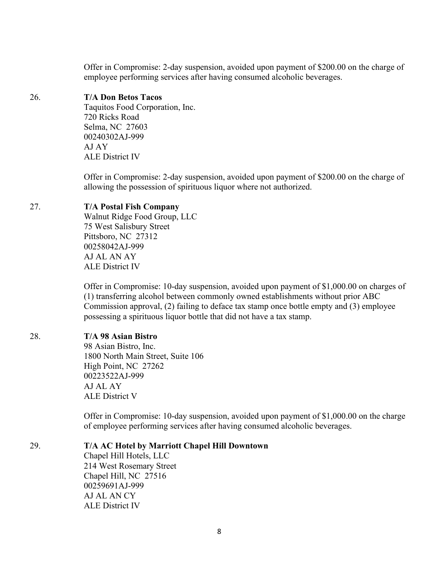Offer in Compromise: 2-day suspension, avoided upon payment of \$200.00 on the charge of employee performing services after having consumed alcoholic beverages.

### 26. **T/A Don Betos Tacos**

Taquitos Food Corporation, Inc. 720 Ricks Road Selma, NC 27603 00240302AJ-999 AJ AY ALE District IV

Offer in Compromise: 2-day suspension, avoided upon payment of \$200.00 on the charge of allowing the possession of spirituous liquor where not authorized.

### 27. **T/A Postal Fish Company**

Walnut Ridge Food Group, LLC 75 West Salisbury Street Pittsboro, NC 27312 00258042AJ-999 AJ AL AN AY ALE District IV

Offer in Compromise: 10-day suspension, avoided upon payment of \$1,000.00 on charges of (1) transferring alcohol between commonly owned establishments without prior ABC Commission approval, (2) failing to deface tax stamp once bottle empty and (3) employee possessing a spirituous liquor bottle that did not have a tax stamp.

# 28. **T/A 98 Asian Bistro**

98 Asian Bistro, Inc. 1800 North Main Street, Suite 106 High Point, NC 27262 00223522AJ-999 AJ AL AY ALE District V

Offer in Compromise: 10-day suspension, avoided upon payment of \$1,000.00 on the charge of employee performing services after having consumed alcoholic beverages.

29. **T/A AC Hotel by Marriott Chapel Hill Downtown**

Chapel Hill Hotels, LLC 214 West Rosemary Street Chapel Hill, NC 27516 00259691AJ-999 AJ AL AN CY ALE District IV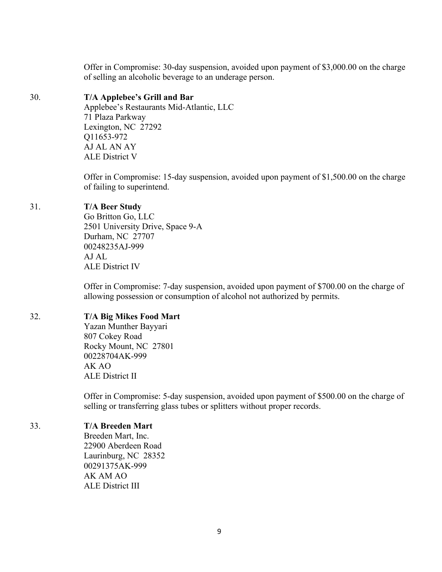Offer in Compromise: 30-day suspension, avoided upon payment of \$3,000.00 on the charge of selling an alcoholic beverage to an underage person.

### 30. **T/A Applebee's Grill and Bar**

Applebee's Restaurants Mid-Atlantic, LLC 71 Plaza Parkway Lexington, NC 27292 Q11653-972 AJ AL AN AY ALE District V

Offer in Compromise: 15-day suspension, avoided upon payment of \$1,500.00 on the charge of failing to superintend.

### 31. **T/A Beer Study**

Go Britton Go, LLC 2501 University Drive, Space 9-A Durham, NC 27707 00248235AJ-999 AJ AL ALE District IV

Offer in Compromise: 7-day suspension, avoided upon payment of \$700.00 on the charge of allowing possession or consumption of alcohol not authorized by permits.

# 32. **T/A Big Mikes Food Mart**

Yazan Munther Bayyari 807 Cokey Road Rocky Mount, NC 27801 00228704AK-999 AK AO ALE District II

Offer in Compromise: 5-day suspension, avoided upon payment of \$500.00 on the charge of selling or transferring glass tubes or splitters without proper records.

### 33. **T/A Breeden Mart**

Breeden Mart, Inc. 22900 Aberdeen Road Laurinburg, NC 28352 00291375AK-999 AK AM AO ALE District III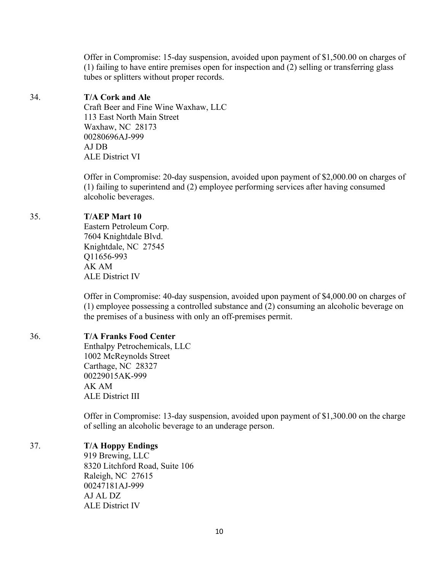Offer in Compromise: 15-day suspension, avoided upon payment of \$1,500.00 on charges of (1) failing to have entire premises open for inspection and (2) selling or transferring glass tubes or splitters without proper records.

### 34. **T/A Cork and Ale**

Craft Beer and Fine Wine Waxhaw, LLC 113 East North Main Street Waxhaw, NC 28173 00280696AJ-999 AJ DB ALE District VI

Offer in Compromise: 20-day suspension, avoided upon payment of \$2,000.00 on charges of (1) failing to superintend and (2) employee performing services after having consumed alcoholic beverages.

# 35. **T/AEP Mart 10**

Eastern Petroleum Corp. 7604 Knightdale Blvd. Knightdale, NC 27545 Q11656-993 AK AM ALE District IV

Offer in Compromise: 40-day suspension, avoided upon payment of \$4,000.00 on charges of (1) employee possessing a controlled substance and (2) consuming an alcoholic beverage on the premises of a business with only an off-premises permit.

# 36. **T/A Franks Food Center**

Enthalpy Petrochemicals, LLC 1002 McReynolds Street Carthage, NC 28327 00229015AK-999 AK AM ALE District III

Offer in Compromise: 13-day suspension, avoided upon payment of \$1,300.00 on the charge of selling an alcoholic beverage to an underage person.

# 37. **T/A Hoppy Endings**

919 Brewing, LLC 8320 Litchford Road, Suite 106 Raleigh, NC 27615 00247181AJ-999 AJ AL DZ ALE District IV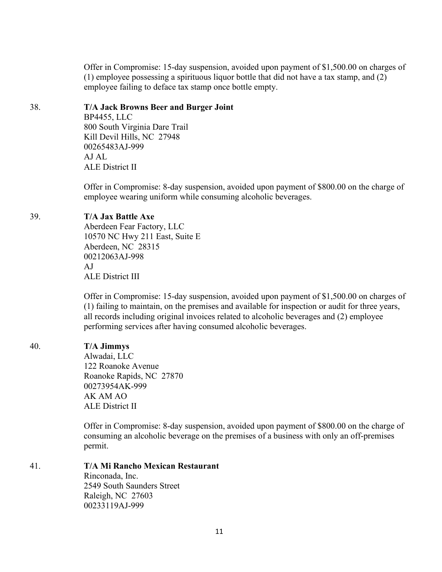Offer in Compromise: 15-day suspension, avoided upon payment of \$1,500.00 on charges of (1) employee possessing a spirituous liquor bottle that did not have a tax stamp, and (2) employee failing to deface tax stamp once bottle empty.

# 38. **T/A Jack Browns Beer and Burger Joint** BP4455, LLC 800 South Virginia Dare Trail Kill Devil Hills, NC 27948 00265483AJ-999 AJ AL

ALE District II

Offer in Compromise: 8-day suspension, avoided upon payment of \$800.00 on the charge of employee wearing uniform while consuming alcoholic beverages.

# 39. **T/A Jax Battle Axe**

Aberdeen Fear Factory, LLC 10570 NC Hwy 211 East, Suite E Aberdeen, NC 28315 00212063AJ-998 AJ ALE District III

Offer in Compromise: 15-day suspension, avoided upon payment of \$1,500.00 on charges of (1) failing to maintain, on the premises and available for inspection or audit for three years, all records including original invoices related to alcoholic beverages and (2) employee performing services after having consumed alcoholic beverages.

# 40. **T/A Jimmys**

Alwadai, LLC 122 Roanoke Avenue Roanoke Rapids, NC 27870 00273954AK-999 AK AM AO ALE District II

Offer in Compromise: 8-day suspension, avoided upon payment of \$800.00 on the charge of consuming an alcoholic beverage on the premises of a business with only an off-premises permit.

41. **T/A Mi Rancho Mexican Restaurant** Rinconada, Inc. 2549 South Saunders Street Raleigh, NC 27603 00233119AJ-999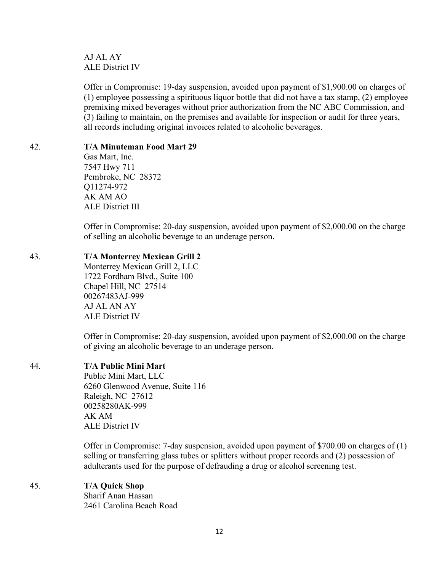AJ AL AY ALE District IV

Offer in Compromise: 19-day suspension, avoided upon payment of \$1,900.00 on charges of (1) employee possessing a spirituous liquor bottle that did not have a tax stamp, (2) employee premixing mixed beverages without prior authorization from the NC ABC Commission, and (3) failing to maintain, on the premises and available for inspection or audit for three years, all records including original invoices related to alcoholic beverages.

### 42. **T/A Minuteman Food Mart 29**

Gas Mart, Inc. 7547 Hwy 711 Pembroke, NC 28372 Q11274-972 AK AM AO ALE District III

Offer in Compromise: 20-day suspension, avoided upon payment of \$2,000.00 on the charge of selling an alcoholic beverage to an underage person.

# 43. **T/A Monterrey Mexican Grill 2**

Monterrey Mexican Grill 2, LLC 1722 Fordham Blvd., Suite 100 Chapel Hill, NC 27514 00267483AJ-999 AJ AL AN AY ALE District IV

Offer in Compromise: 20-day suspension, avoided upon payment of \$2,000.00 on the charge of giving an alcoholic beverage to an underage person.

# 44. **T/A Public Mini Mart**

Public Mini Mart, LLC 6260 Glenwood Avenue, Suite 116 Raleigh, NC 27612 00258280AK-999 AK AM ALE District IV

Offer in Compromise: 7-day suspension, avoided upon payment of \$700.00 on charges of (1) selling or transferring glass tubes or splitters without proper records and (2) possession of adulterants used for the purpose of defrauding a drug or alcohol screening test.

# 45. **T/A Quick Shop**

Sharif Anan Hassan 2461 Carolina Beach Road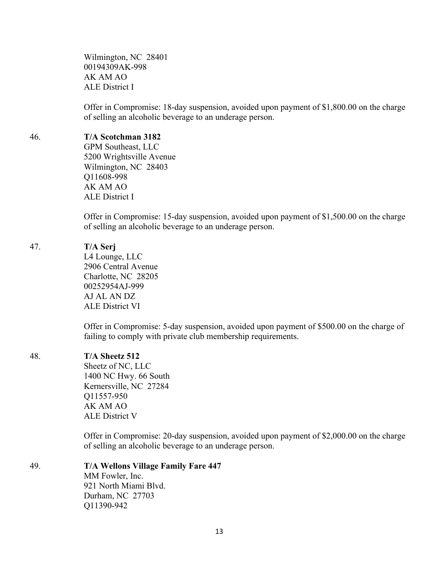Wilmington, NC 28401 00194309AK-998 AK AM AO ALE District I

Offer in Compromise: 18-day suspension, avoided upon payment of \$1,800.00 on the charge of selling an alcoholic beverage to an underage person.

#### 46. **T/A Scotchman 3182**

GPM Southeast, LLC 5200 Wrightsville Avenue Wilmington, NC 28403 Q11608-998 AK AM AO ALE District I

Offer in Compromise: 15-day suspension, avoided upon payment of \$1,500.00 on the charge of selling an alcoholic beverage to an underage person.

#### 47. **T/A Serj**

L4 Lounge, LLC 2906 Central Avenue Charlotte, NC 28205 00252954AJ-999 AJ AL AN DZ ALE District VI

Offer in Compromise: 5-day suspension, avoided upon payment of \$500.00 on the charge of failing to comply with private club membership requirements.

#### 48. **T/A Sheetz 512**

Sheetz of NC, LLC 1400 NC Hwy. 66 South Kernersville, NC 27284 Q11557-950 AK AM AO ALE District V

Offer in Compromise: 20-day suspension, avoided upon payment of \$2,000.00 on the charge of selling an alcoholic beverage to an underage person.

### 49. **T/A Wellons Village Family Fare 447** MM Fowler, Inc. 921 North Miami Blvd. Durham, NC 27703

Q11390-942

13